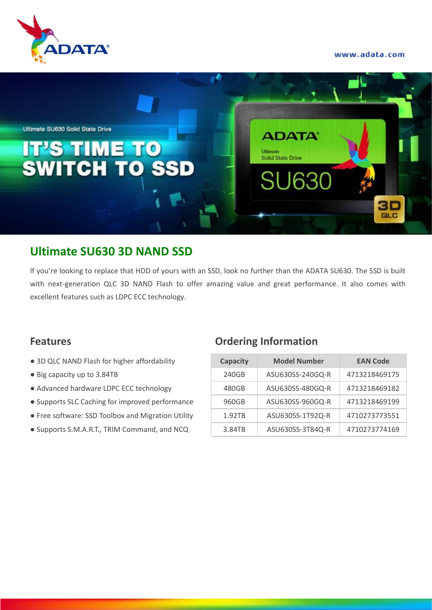www.adata.com





# **Ultimate SU630 3D NAND SSD**

If you're looking to replace that HDD of yours with an SSD, look no further than the ADATA SU630. The SSD is built with next-generation QLC 3D NAND Flash to offer amazing value and great performance. It also comes with excellent features such as LDPC ECC technology.

- $\bullet$  3D QLC NAND Flash for higher affordability
- Big capacity up to 3.84TB
- Advanced hardware LDPC ECC technology
- Supports SLC Caching for improved performance
- Free software: SSD Toolbox and Migration Utility
- Supports S.M.A.R.T., TRIM Command, and NCQ

### **Features Ordering Information**

| <b>Capacity</b> | <b>Model Number</b> | <b>EAN Code</b> |  |  |  |
|-----------------|---------------------|-----------------|--|--|--|
| 240GB           | ASU630SS-240GQ-R    | 4713218469175   |  |  |  |
| 480GB           | ASU630SS-480GQ-R    | 4713218469182   |  |  |  |
| 960GB           | ASU630SS-960GQ-R    | 4713218469199   |  |  |  |
| 1.92TB          | ASU630SS-1T92Q-R    | 4710273773551   |  |  |  |
| 3.84TB          | ASU630SS-3T84Q-R    | 4710273774169   |  |  |  |